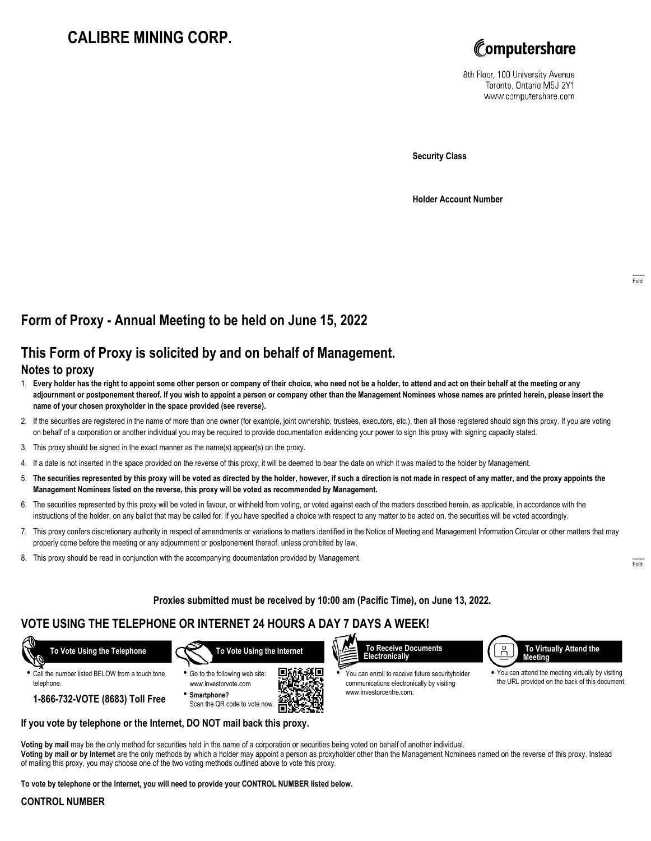# **CALIBRE MINING CORP.**



8th Floor, 100 University Avenue Toronto, Ontario M5J 2Y1 www.computershare.com

**Security Class**

**Holder Account Number**

## **Form of Proxy - Annual Meeting to be held on June 15, 2022**

# **This Form of Proxy is solicited by and on behalf of Management.**

### **Notes to proxy**

- 1. **Every holder has the right to appoint some other person or company of their choice, who need not be a holder, to attend and act on their behalf at the meeting or any adjournment or postponement thereof. If you wish to appoint a person or company other than the Management Nominees whose names are printed herein, please insert the name of your chosen proxyholder in the space provided (see reverse).**
- 2. If the securities are registered in the name of more than one owner (for example, joint ownership, trustees, executors, etc.), then all those registered should sign this proxy. If you are voting on behalf of a corporation or another individual you may be required to provide documentation evidencing your power to sign this proxy with signing capacity stated.
- 3. This proxy should be signed in the exact manner as the name(s) appear(s) on the proxy.
- 4. If a date is not inserted in the space provided on the reverse of this proxy, it will be deemed to bear the date on which it was mailed to the holder by Management.
- 5. **The securities represented by this proxy will be voted as directed by the holder, however, if such a direction is not made in respect of any matter, and the proxy appoints the Management Nominees listed on the reverse, this proxy will be voted as recommended by Management.**
- 6. The securities represented by this proxy will be voted in favour, or withheld from voting, or voted against each of the matters described herein, as applicable, in accordance with the instructions of the holder, on any ballot that may be called for. If you have specified a choice with respect to any matter to be acted on, the securities will be voted accordingly.
- 7. This proxy confers discretionary authority in respect of amendments or variations to matters identified in the Notice of Meeting and Management Information Circular or other matters that may properly come before the meeting or any adjournment or postponement thereof, unless prohibited by law.
- 8. This proxy should be read in conjunction with the accompanying documentation provided by Management.

**Proxies submitted must be received by 10:00 am (Pacific Time), on June 13, 2022.**

## **VOTE USING THE TELEPHONE OR INTERNET 24 HOURS A DAY 7 DAYS A WEEK!**

 **To Vote Using the Telephone**

**•** Call the number listed BELOW from a touch tone telephone.

 **To Vote Using the Internet**



**If you vote by telephone or the Internet, DO NOT mail back this proxy.**

www.investorvote.com Scan the QR code to vote now.



**•** You can enroll to receive future securityholder communications electronically by visiting www.investorcentre.com.



**•** You can attend the meeting virtually by visiting the URL provided on the back of this document.

**Voting by mail** may be the only method for securities held in the name of a corporation or securities being voted on behalf of another individual.

**Voting by mail or by Internet** are the only methods by which a holder may appoint a person as proxyholder other than the Management Nominees named on the reverse of this proxy. Instead of mailing this proxy, you may choose one of the two voting methods outlined above to vote this proxy.

ÆП

**To vote by telephone or the Internet, you will need to provide your CONTROL NUMBER listed below.**

### **CONTROL NUMBER**